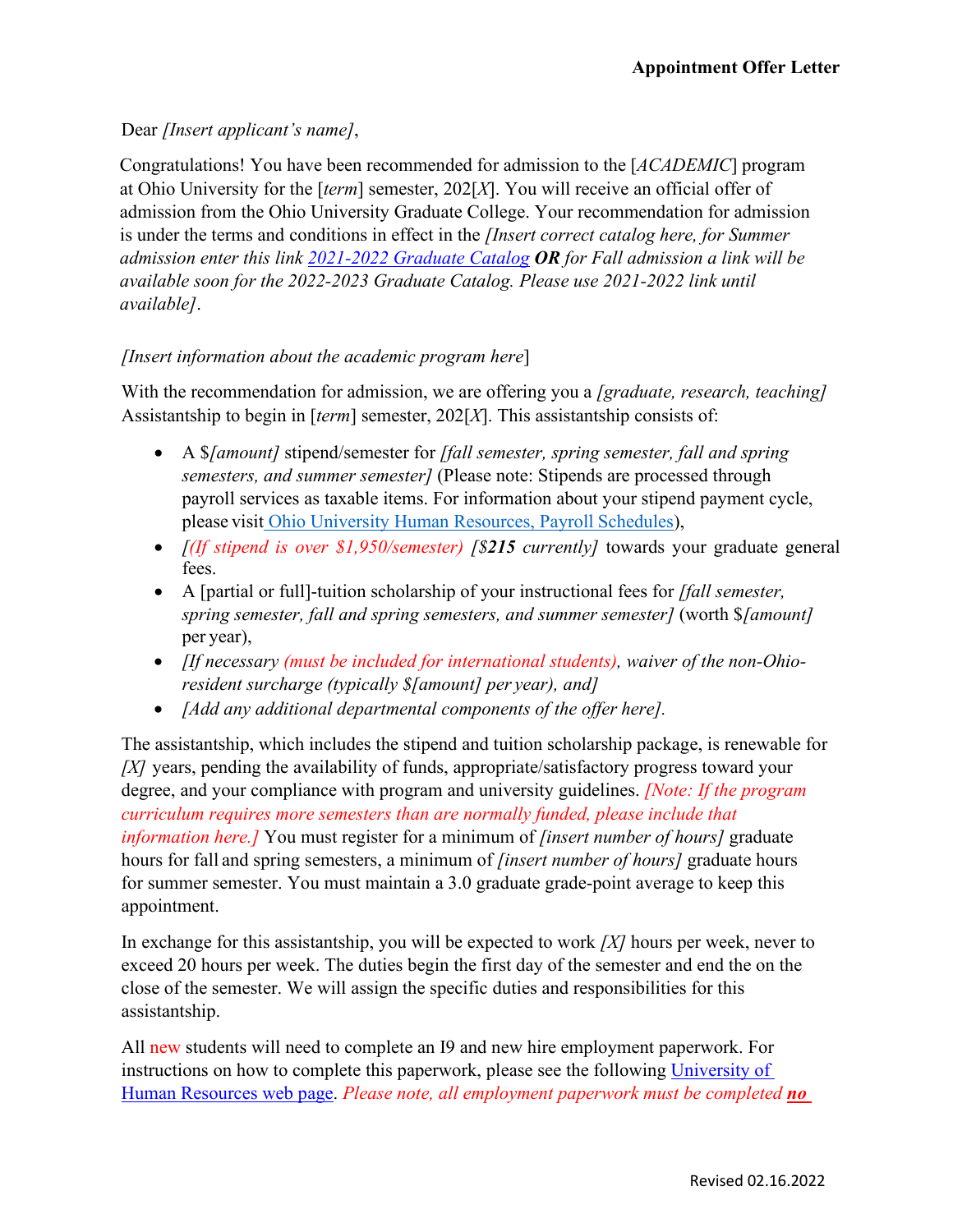## Dear *[Insert applicant's name]*,

Congratulations! You have been recommended for admission to the [*ACADEMIC*] program at Ohio University for the [*term*] semester, 202[*X*]. You will receive an official offer of admission from the Ohio University Graduate College. Your recommendation for admission is under the terms and conditions in effect in the *[Insert correct catalog here, for Summer admission enter this link 2021-2022 [Graduate Catalog](https://www.catalogs.ohio.edu/index.php?catoid=71) OR for Fall admission a link will be available soon for the 2022-2023 Graduate Catalog. Please use 2021-2022 link until available]*.

## *[Insert information about the academic program here*]

With the recommendation for admission, we are offering you a *[graduate, research, teaching]* Assistantship to begin in [*term*] semester, 202[*X*]. This assistantship consists of:

- A \$*[amount]* stipend/semester for *[fall semester, spring semester, fall and spring semesters, and summer semester]* (Please note: Stipends are processed through payroll services as taxable items. For information about your stipend payment cycle, please visit [Ohio University Human Resources, Payroll](https://www.ohio.edu/hr/compensation-pay/payroll-schedules) Schedules),
- *[(If stipend is over \$1,950/semester) [\$215 currently]* towards your graduate general fees.
- A [partial or full]-tuition scholarship of your instructional fees for *[fall semester, spring semester, fall and spring semesters, and summer semester]* (worth \$*[amount]*  per year),
- *[If necessary (must be included for international students), waiver of the non-Ohioresident surcharge (typically \$[amount] per year), and]*
- *[Add any additional departmental components of the offer here].*

The assistantship, which includes the stipend and tuition scholarship package, is renewable for *[X]* years, pending the availability of funds, appropriate/satisfactory progress toward your degree, and your compliance with program and university guidelines. *[Note: If the program curriculum requires more semesters than are normally funded, please include that information here.]* You must register for a minimum of *[insert number of hours]* graduate hours for fall and spring semesters, a minimum of *[insert number of hours]* graduate hours for summer semester. You must maintain a 3.0 graduate grade-point average to keep this appointment.

In exchange for this assistantship, you will be expected to work *[X]* hours per week, never to exceed 20 hours per week. The duties begin the first day of the semester and end the on the close of the semester. We will assign the specific duties and responsibilities for this assistantship.

All new students will need to complete an I9 and new hire employment paperwork. For instructions on how to complete this paperwork, please see the following [University of](https://www.ohio.edu/hr/student-emp-paperwork)  [Human Resources web page.](https://www.ohio.edu/hr/student-emp-paperwork) *Please note, all employment paperwork must be completed no*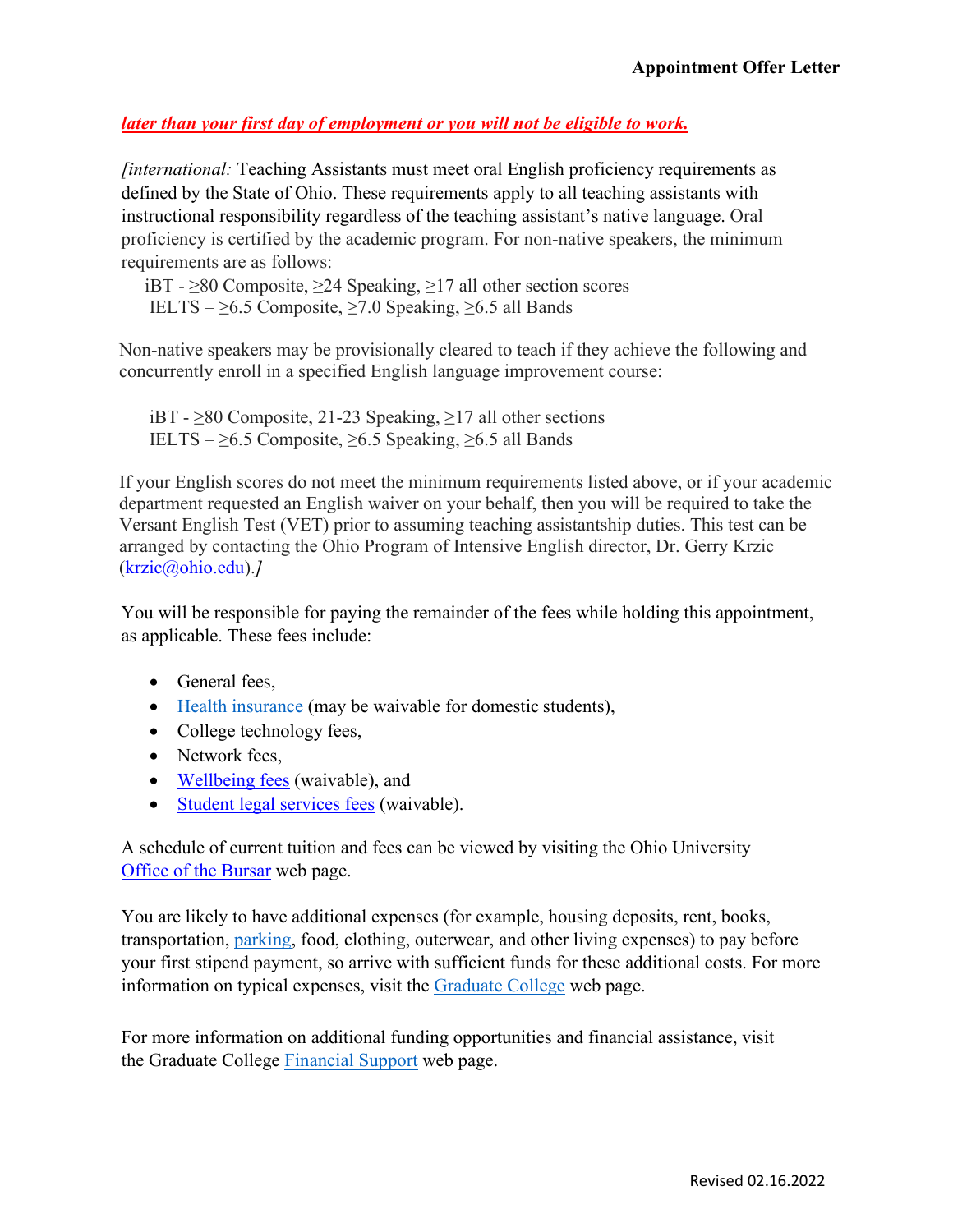## *later than your first day of employment or you will not be eligible to work.*

*[international:* Teaching Assistants must meet oral English proficiency requirements as defined by the State of Ohio. These requirements apply to all teaching assistants with instructional responsibility regardless of the teaching assistant's native language. Oral proficiency is certified by the academic program. For non-native speakers, the minimum requirements are as follows:

 iBT - ≥80 Composite, ≥24 Speaking, ≥17 all other section scores IELTS –  $\geq 6.5$  Composite,  $\geq 7.0$  Speaking,  $\geq 6.5$  all Bands

Non-native speakers may be provisionally cleared to teach if they achieve the following and concurrently enroll in a specified English language improvement course:

iBT - ≥80 Composite, 21-23 Speaking, ≥17 all other sections IELTS –  $\geq 6.5$  Composite,  $\geq 6.5$  Speaking,  $\geq 6.5$  all Bands

If your English scores do not meet the minimum requirements listed above, or if your academic department requested an English waiver on your behalf, then you will be required to take the Versant English Test (VET) prior to assuming teaching assistantship duties. This test can be arranged by contacting the Ohio Program of Intensive English director, Dr. Gerry Krzic [\(krzic@ohio.edu\)](mailto:krzic@ohio.edu).*]*

You will be responsible for paying the remainder of the fees while holding this appointment, as applicable. These fees include:

- General fees,
- [Health insurance](https://www.ohio.edu/student-insurance/) (may be waivable for domestic students),
- College technology fees,
- Network fees.
- [Wellbeing fees](https://www.ohio.edu/student-affairs/wellbeing) (waivable), and
- [Student legal services fees](https://www.studentlegalrights.org/) (waivable).

A schedule of current tuition and fees can be viewed by visiting the Ohio University [Office of the Bursar](https://www.ohio.edu/bursar/graduate-tuition) web [page.](https://www.ohio.edu/bursar/graduate-tuition.cfm) 

You are likely to have additional expenses (for example, housing deposits, rent, books, transportation, [parking,](https://www.ohio.edu/parking/index.cfm) food, clothing, outerwear, and other living expenses) to pay before your first stipend payment, so arrive with sufficient funds for these additional costs. For more information on typical expenses, visit the [Graduate College](https://www.ohio.edu/graduate/prospective-students/tuition) web page.

For more information on additional funding opportunities and financial assistance, visit the Graduate College [Financial Support](https://www.ohio.edu/graduate/prospective-students/financial-support) web page.